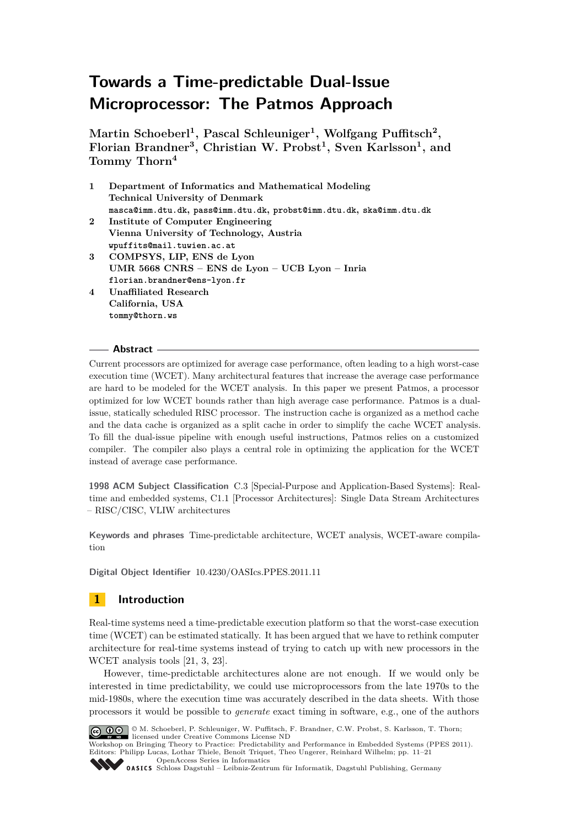**Martin Schoeberl<sup>1</sup> , Pascal Schleuniger<sup>1</sup> , Wolfgang Puffitsch<sup>2</sup> , Florian Brandner<sup>3</sup> , Christian W. Probst<sup>1</sup> , Sven Karlsson<sup>1</sup> , and Tommy Thorn<sup>4</sup>**

- **1 Department of Informatics and Mathematical Modeling Technical University of Denmark masca@imm.dtu.dk, pass@imm.dtu.dk, probst@imm.dtu.dk, ska@imm.dtu.dk 2 Institute of Computer Engineering**
- **Vienna University of Technology, Austria wpuffits@mail.tuwien.ac.at**
- **3 COMPSYS, LIP, ENS de Lyon UMR 5668 CNRS – ENS de Lyon – UCB Lyon – Inria florian.brandner@ens-lyon.fr**
- **4 Unaffiliated Research California, USA tommy@thorn.ws**

## **Abstract**

Current processors are optimized for average case performance, often leading to a high worst-case execution time (WCET). Many architectural features that increase the average case performance are hard to be modeled for the WCET analysis. In this paper we present Patmos, a processor optimized for low WCET bounds rather than high average case performance. Patmos is a dualissue, statically scheduled RISC processor. The instruction cache is organized as a method cache and the data cache is organized as a split cache in order to simplify the cache WCET analysis. To fill the dual-issue pipeline with enough useful instructions, Patmos relies on a customized compiler. The compiler also plays a central role in optimizing the application for the WCET instead of average case performance.

**1998 ACM Subject Classification** C.3 [Special-Purpose and Application-Based Systems]: Realtime and embedded systems, C1.1 [Processor Architectures]: Single Data Stream Architectures – RISC/CISC, VLIW architectures

**Keywords and phrases** Time-predictable architecture, WCET analysis, WCET-aware compilation

**Digital Object Identifier** [10.4230/OASIcs.PPES.2011.11](http://dx.doi.org/10.4230/OASIcs.PPES.2011.11)

## **1 Introduction**

Real-time systems need a time-predictable execution platform so that the worst-case execution time (WCET) can be estimated statically. It has been argued that we have to rethink computer architecture for real-time systems instead of trying to catch up with new processors in the WCET analysis tools [\[21,](#page-10-0) [3,](#page-9-0) [23\]](#page-10-1).

However, time-predictable architectures alone are not enough. If we would only be interested in time predictability, we could use microprocessors from the late 1970s to the mid-1980s, where the execution time was accurately described in the data sheets. With those processors it would be possible to *generate* exact timing in software, e.g., one of the authors



© M. Schoeberl, P. Schleuniger, W. Puffitsch, F. Brandner, C.W. Probst, S. Karlsson, T. Thorn; licensed under Creative Commons License ND

Workshop on Bringing Theory to Practice: Predictability and Performance in Embedded Systems (PPES 2011). Editors: Philipp Lucas, Lothar Thiele, Benoît Triquet, Theo Ungerer, Reinhard Wilhelm; pp. 11[–21](#page-10-2) [OpenAccess Series in Informatics](http://www.dagstuhl.de/oasics/)

[Schloss Dagstuhl – Leibniz-Zentrum für Informatik, Dagstuhl Publishing, Germany](http://www.dagstuhl.de/)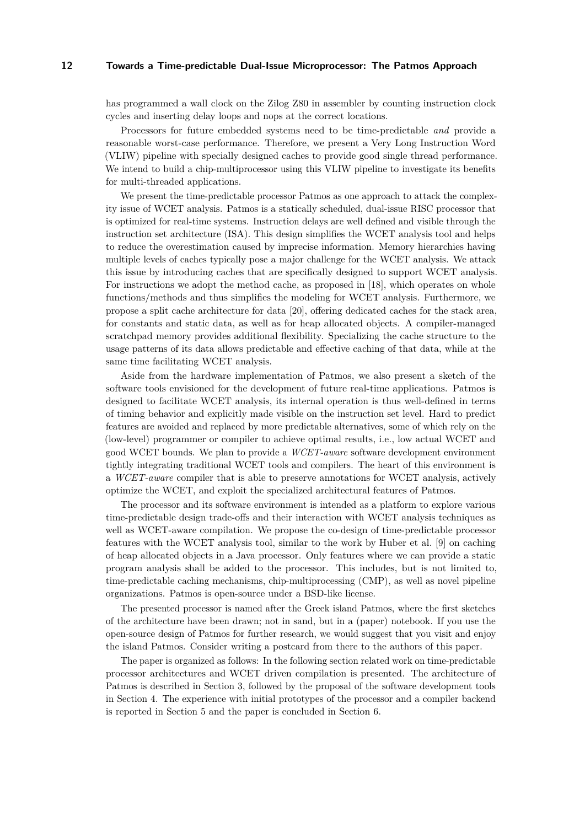has programmed a wall clock on the Zilog Z80 in assembler by counting instruction clock cycles and inserting delay loops and nops at the correct locations.

Processors for future embedded systems need to be time-predictable *and* provide a reasonable worst-case performance. Therefore, we present a Very Long Instruction Word (VLIW) pipeline with specially designed caches to provide good single thread performance. We intend to build a chip-multiprocessor using this VLIW pipeline to investigate its benefits for multi-threaded applications.

We present the time-predictable processor Patmos as one approach to attack the complexity issue of WCET analysis. Patmos is a statically scheduled, dual-issue RISC processor that is optimized for real-time systems. Instruction delays are well defined and visible through the instruction set architecture (ISA). This design simplifies the WCET analysis tool and helps to reduce the overestimation caused by imprecise information. Memory hierarchies having multiple levels of caches typically pose a major challenge for the WCET analysis. We attack this issue by introducing caches that are specifically designed to support WCET analysis. For instructions we adopt the method cache, as proposed in [\[18\]](#page-10-3), which operates on whole functions/methods and thus simplifies the modeling for WCET analysis. Furthermore, we propose a split cache architecture for data [\[20\]](#page-10-4), offering dedicated caches for the stack area, for constants and static data, as well as for heap allocated objects. A compiler-managed scratchpad memory provides additional flexibility. Specializing the cache structure to the usage patterns of its data allows predictable and effective caching of that data, while at the same time facilitating WCET analysis.

Aside from the hardware implementation of Patmos, we also present a sketch of the software tools envisioned for the development of future real-time applications. Patmos is designed to facilitate WCET analysis, its internal operation is thus well-defined in terms of timing behavior and explicitly made visible on the instruction set level. Hard to predict features are avoided and replaced by more predictable alternatives, some of which rely on the (low-level) programmer or compiler to achieve optimal results, i.e., low actual WCET and good WCET bounds. We plan to provide a *WCET-aware* software development environment tightly integrating traditional WCET tools and compilers. The heart of this environment is a *WCET-aware* compiler that is able to preserve annotations for WCET analysis, actively optimize the WCET, and exploit the specialized architectural features of Patmos.

The processor and its software environment is intended as a platform to explore various time-predictable design trade-offs and their interaction with WCET analysis techniques as well as WCET-aware compilation. We propose the co-design of time-predictable processor features with the WCET analysis tool, similar to the work by Huber et al. [\[9\]](#page-9-1) on caching of heap allocated objects in a Java processor. Only features where we can provide a static program analysis shall be added to the processor. This includes, but is not limited to, time-predictable caching mechanisms, chip-multiprocessing (CMP), as well as novel pipeline organizations. Patmos is open-source under a BSD-like license.

The presented processor is named after the Greek island Patmos, where the first sketches of the architecture have been drawn; not in sand, but in a (paper) notebook. If you use the open-source design of Patmos for further research, we would suggest that you visit and enjoy the island Patmos. Consider writing a postcard from there to the authors of this paper.

The paper is organized as follows: In the following section related work on time-predictable processor architectures and WCET driven compilation is presented. The architecture of Patmos is described in Section [3,](#page-3-0) followed by the proposal of the software development tools in Section [4.](#page-6-0) The experience with initial prototypes of the processor and a compiler backend is reported in Section [5](#page-7-0) and the paper is concluded in Section [6.](#page-8-0)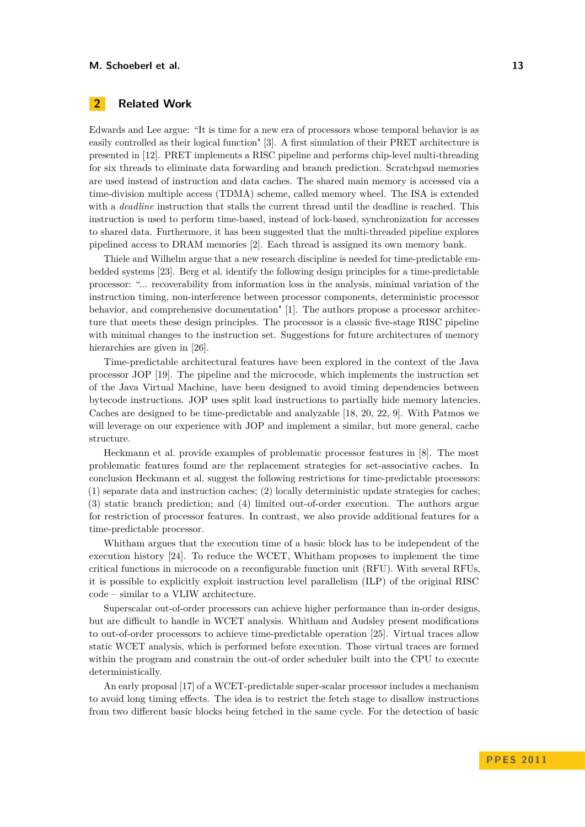#### **M. Schoeberl et al. 13**

## **2 Related Work**

Edwards and Lee argue: "It is time for a new era of processors whose temporal behavior is as easily controlled as their logical function" [\[3\]](#page-9-0). A first simulation of their PRET architecture is presented in [\[12\]](#page-9-2). PRET implements a RISC pipeline and performs chip-level multi-threading for six threads to eliminate data forwarding and branch prediction. Scratchpad memories are used instead of instruction and data caches. The shared main memory is accessed via a time-division multiple access (TDMA) scheme, called memory wheel. The ISA is extended with a *deadline* instruction that stalls the current thread until the deadline is reached. This instruction is used to perform time-based, instead of lock-based, synchronization for accesses to shared data. Furthermore, it has been suggested that the multi-threaded pipeline explores pipelined access to DRAM memories [\[2\]](#page-9-3). Each thread is assigned its own memory bank.

Thiele and Wilhelm argue that a new research discipline is needed for time-predictable embedded systems [\[23\]](#page-10-1). Berg et al. identify the following design principles for a time-predictable processor: "... recoverability from information loss in the analysis, minimal variation of the instruction timing, non-interference between processor components, deterministic processor behavior, and comprehensive documentation" [\[1\]](#page-9-4). The authors propose a processor architecture that meets these design principles. The processor is a classic five-stage RISC pipeline with minimal changes to the instruction set. Suggestions for future architectures of memory hierarchies are given in [\[26\]](#page-10-5).

Time-predictable architectural features have been explored in the context of the Java processor JOP [\[19\]](#page-10-6). The pipeline and the microcode, which implements the instruction set of the Java Virtual Machine, have been designed to avoid timing dependencies between bytecode instructions. JOP uses split load instructions to partially hide memory latencies. Caches are designed to be time-predictable and analyzable [\[18,](#page-10-3) [20,](#page-10-4) [22,](#page-10-7) [9\]](#page-9-1). With Patmos we will leverage on our experience with JOP and implement a similar, but more general, cache structure.

Heckmann et al. provide examples of problematic processor features in [\[8\]](#page-9-5). The most problematic features found are the replacement strategies for set-associative caches. In conclusion Heckmann et al. suggest the following restrictions for time-predictable processors: (1) separate data and instruction caches; (2) locally deterministic update strategies for caches; (3) static branch prediction; and (4) limited out-of-order execution. The authors argue for restriction of processor features. In contrast, we also provide additional features for a time-predictable processor.

Whitham argues that the execution time of a basic block has to be independent of the execution history [\[24\]](#page-10-8). To reduce the WCET, Whitham proposes to implement the time critical functions in microcode on a reconfigurable function unit (RFU). With several RFUs, it is possible to explicitly exploit instruction level parallelism (ILP) of the original RISC code – similar to a VLIW architecture.

Superscalar out-of-order processors can achieve higher performance than in-order designs, but are difficult to handle in WCET analysis. Whitham and Audsley present modifications to out-of-order processors to achieve time-predictable operation [\[25\]](#page-10-9). Virtual traces allow static WCET analysis, which is performed before execution. Those virtual traces are formed within the program and constrain the out-of order scheduler built into the CPU to execute deterministically.

An early proposal [\[17\]](#page-10-10) of a WCET-predictable super-scalar processor includes a mechanism to avoid long timing effects. The idea is to restrict the fetch stage to disallow instructions from two different basic blocks being fetched in the same cycle. For the detection of basic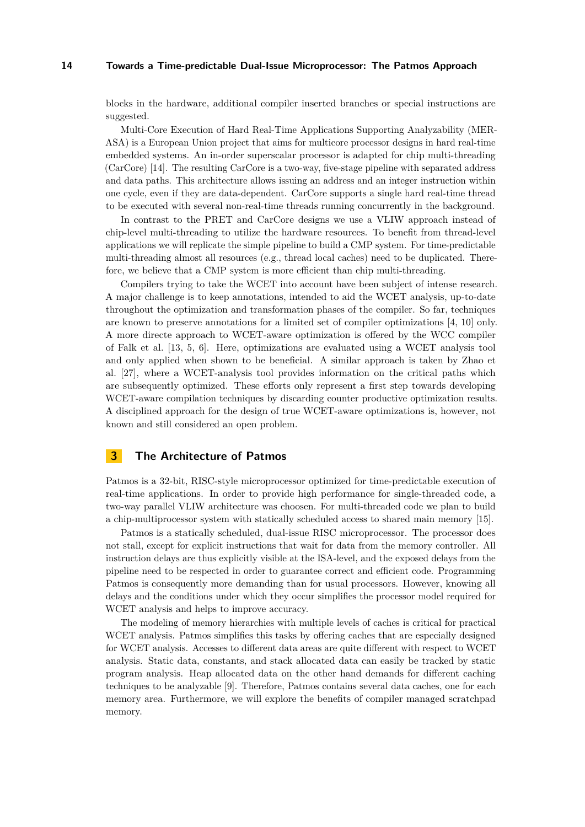blocks in the hardware, additional compiler inserted branches or special instructions are suggested.

Multi-Core Execution of Hard Real-Time Applications Supporting Analyzability (MER-ASA) is a European Union project that aims for multicore processor designs in hard real-time embedded systems. An in-order superscalar processor is adapted for chip multi-threading (CarCore) [\[14\]](#page-9-6). The resulting CarCore is a two-way, five-stage pipeline with separated address and data paths. This architecture allows issuing an address and an integer instruction within one cycle, even if they are data-dependent. CarCore supports a single hard real-time thread to be executed with several non-real-time threads running concurrently in the background.

In contrast to the PRET and CarCore designs we use a VLIW approach instead of chip-level multi-threading to utilize the hardware resources. To benefit from thread-level applications we will replicate the simple pipeline to build a CMP system. For time-predictable multi-threading almost all resources (e.g., thread local caches) need to be duplicated. Therefore, we believe that a CMP system is more efficient than chip multi-threading.

Compilers trying to take the WCET into account have been subject of intense research. A major challenge is to keep annotations, intended to aid the WCET analysis, up-to-date throughout the optimization and transformation phases of the compiler. So far, techniques are known to preserve annotations for a limited set of compiler optimizations [\[4,](#page-9-7) [10\]](#page-9-8) only. A more directe approach to WCET-aware optimization is offered by the WCC compiler of Falk et al. [\[13,](#page-9-9) [5,](#page-9-10) [6\]](#page-9-11). Here, optimizations are evaluated using a WCET analysis tool and only applied when shown to be beneficial. A similar approach is taken by Zhao et al. [\[27\]](#page-10-11), where a WCET-analysis tool provides information on the critical paths which are subsequently optimized. These efforts only represent a first step towards developing WCET-aware compilation techniques by discarding counter productive optimization results. A disciplined approach for the design of true WCET-aware optimizations is, however, not known and still considered an open problem.

## <span id="page-3-0"></span>**3 The Architecture of Patmos**

Patmos is a 32-bit, RISC-style microprocessor optimized for time-predictable execution of real-time applications. In order to provide high performance for single-threaded code, a two-way parallel VLIW architecture was choosen. For multi-threaded code we plan to build a chip-multiprocessor system with statically scheduled access to shared main memory [\[15\]](#page-9-12).

Patmos is a statically scheduled, dual-issue RISC microprocessor. The processor does not stall, except for explicit instructions that wait for data from the memory controller. All instruction delays are thus explicitly visible at the ISA-level, and the exposed delays from the pipeline need to be respected in order to guarantee correct and efficient code. Programming Patmos is consequently more demanding than for usual processors. However, knowing all delays and the conditions under which they occur simplifies the processor model required for WCET analysis and helps to improve accuracy.

The modeling of memory hierarchies with multiple levels of caches is critical for practical WCET analysis. Patmos simplifies this tasks by offering caches that are especially designed for WCET analysis. Accesses to different data areas are quite different with respect to WCET analysis. Static data, constants, and stack allocated data can easily be tracked by static program analysis. Heap allocated data on the other hand demands for different caching techniques to be analyzable [\[9\]](#page-9-1). Therefore, Patmos contains several data caches, one for each memory area. Furthermore, we will explore the benefits of compiler managed scratchpad memory.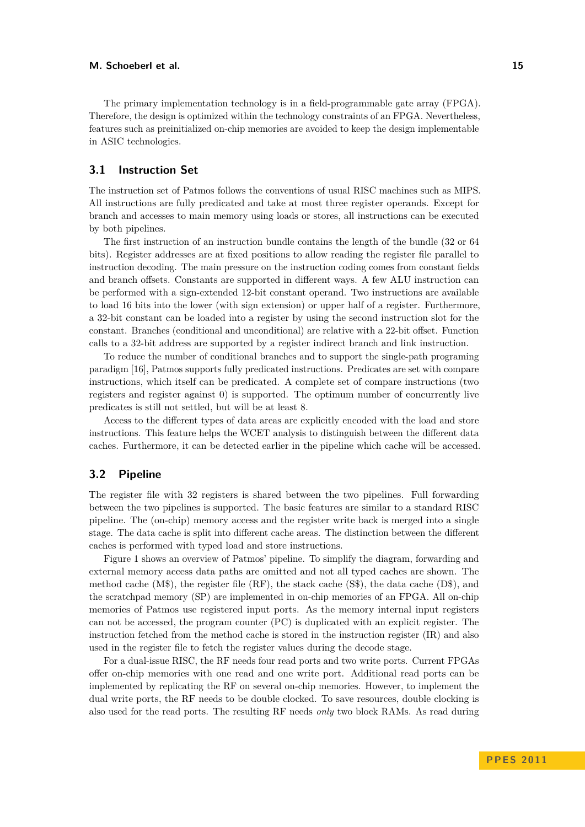The primary implementation technology is in a field-programmable gate array (FPGA). Therefore, the design is optimized within the technology constraints of an FPGA. Nevertheless, features such as preinitialized on-chip memories are avoided to keep the design implementable in ASIC technologies.

## **3.1 Instruction Set**

The instruction set of Patmos follows the conventions of usual RISC machines such as MIPS. All instructions are fully predicated and take at most three register operands. Except for branch and accesses to main memory using loads or stores, all instructions can be executed by both pipelines.

The first instruction of an instruction bundle contains the length of the bundle (32 or 64 bits). Register addresses are at fixed positions to allow reading the register file parallel to instruction decoding. The main pressure on the instruction coding comes from constant fields and branch offsets. Constants are supported in different ways. A few ALU instruction can be performed with a sign-extended 12-bit constant operand. Two instructions are available to load 16 bits into the lower (with sign extension) or upper half of a register. Furthermore, a 32-bit constant can be loaded into a register by using the second instruction slot for the constant. Branches (conditional and unconditional) are relative with a 22-bit offset. Function calls to a 32-bit address are supported by a register indirect branch and link instruction.

To reduce the number of conditional branches and to support the single-path programing paradigm [\[16\]](#page-10-12), Patmos supports fully predicated instructions. Predicates are set with compare instructions, which itself can be predicated. A complete set of compare instructions (two registers and register against 0) is supported. The optimum number of concurrently live predicates is still not settled, but will be at least 8.

Access to the different types of data areas are explicitly encoded with the load and store instructions. This feature helps the WCET analysis to distinguish between the different data caches. Furthermore, it can be detected earlier in the pipeline which cache will be accessed.

## **3.2 Pipeline**

The register file with 32 registers is shared between the two pipelines. Full forwarding between the two pipelines is supported. The basic features are similar to a standard RISC pipeline. The (on-chip) memory access and the register write back is merged into a single stage. The data cache is split into different cache areas. The distinction between the different caches is performed with typed load and store instructions.

Figure [1](#page-5-0) shows an overview of Patmos' pipeline. To simplify the diagram, forwarding and external memory access data paths are omitted and not all typed caches are shown. The method cache  $(M\$ ), the register file  $(RF)$ , the stack cache  $(S\$ ), the data cache  $(D\$ ), and the scratchpad memory (SP) are implemented in on-chip memories of an FPGA. All on-chip memories of Patmos use registered input ports. As the memory internal input registers can not be accessed, the program counter (PC) is duplicated with an explicit register. The instruction fetched from the method cache is stored in the instruction register (IR) and also used in the register file to fetch the register values during the decode stage.

For a dual-issue RISC, the RF needs four read ports and two write ports. Current FPGAs offer on-chip memories with one read and one write port. Additional read ports can be implemented by replicating the RF on several on-chip memories. However, to implement the dual write ports, the RF needs to be double clocked. To save resources, double clocking is also used for the read ports. The resulting RF needs *only* two block RAMs. As read during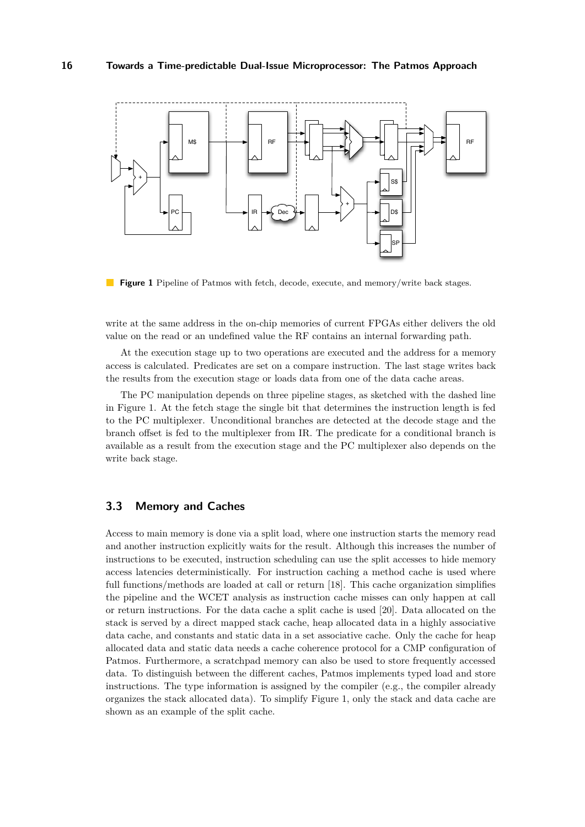<span id="page-5-0"></span>

**Figure 1** Pipeline of Patmos with fetch, decode, execute, and memory/write back stages.

write at the same address in the on-chip memories of current FPGAs either delivers the old value on the read or an undefined value the RF contains an internal forwarding path.

At the execution stage up to two operations are executed and the address for a memory access is calculated. Predicates are set on a compare instruction. The last stage writes back the results from the execution stage or loads data from one of the data cache areas.

The PC manipulation depends on three pipeline stages, as sketched with the dashed line in Figure [1.](#page-5-0) At the fetch stage the single bit that determines the instruction length is fed to the PC multiplexer. Unconditional branches are detected at the decode stage and the branch offset is fed to the multiplexer from IR. The predicate for a conditional branch is available as a result from the execution stage and the PC multiplexer also depends on the write back stage.

## **3.3 Memory and Caches**

Access to main memory is done via a split load, where one instruction starts the memory read and another instruction explicitly waits for the result. Although this increases the number of instructions to be executed, instruction scheduling can use the split accesses to hide memory access latencies deterministically. For instruction caching a method cache is used where full functions/methods are loaded at call or return [\[18\]](#page-10-3). This cache organization simplifies the pipeline and the WCET analysis as instruction cache misses can only happen at call or return instructions. For the data cache a split cache is used [\[20\]](#page-10-4). Data allocated on the stack is served by a direct mapped stack cache, heap allocated data in a highly associative data cache, and constants and static data in a set associative cache. Only the cache for heap allocated data and static data needs a cache coherence protocol for a CMP configuration of Patmos. Furthermore, a scratchpad memory can also be used to store frequently accessed data. To distinguish between the different caches, Patmos implements typed load and store instructions. The type information is assigned by the compiler (e.g., the compiler already organizes the stack allocated data). To simplify Figure [1,](#page-5-0) only the stack and data cache are shown as an example of the split cache.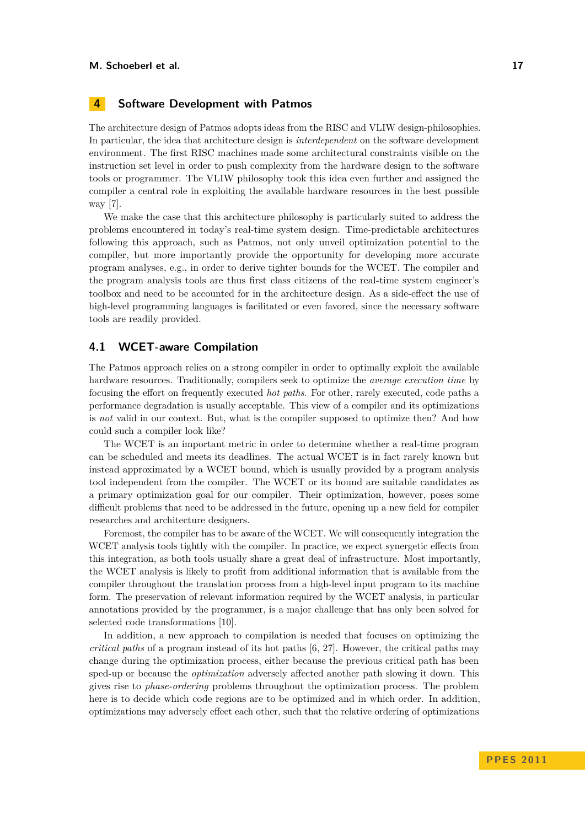## <span id="page-6-0"></span>**4 Software Development with Patmos**

The architecture design of Patmos adopts ideas from the RISC and VLIW design-philosophies. In particular, the idea that architecture design is *interdependent* on the software development environment. The first RISC machines made some architectural constraints visible on the instruction set level in order to push complexity from the hardware design to the software tools or programmer. The VLIW philosophy took this idea even further and assigned the compiler a central role in exploiting the available hardware resources in the best possible way [\[7\]](#page-9-13).

We make the case that this architecture philosophy is particularly suited to address the problems encountered in today's real-time system design. Time-predictable architectures following this approach, such as Patmos, not only unveil optimization potential to the compiler, but more importantly provide the opportunity for developing more accurate program analyses, e.g., in order to derive tighter bounds for the WCET. The compiler and the program analysis tools are thus first class citizens of the real-time system engineer's toolbox and need to be accounted for in the architecture design. As a side-effect the use of high-level programming languages is facilitated or even favored, since the necessary software tools are readily provided.

#### **4.1 WCET-aware Compilation**

The Patmos approach relies on a strong compiler in order to optimally exploit the available hardware resources. Traditionally, compilers seek to optimize the *average execution time* by focusing the effort on frequently executed *hot paths*. For other, rarely executed, code paths a performance degradation is usually acceptable. This view of a compiler and its optimizations is *not* valid in our context. But, what is the compiler supposed to optimize then? And how could such a compiler look like?

The WCET is an important metric in order to determine whether a real-time program can be scheduled and meets its deadlines. The actual WCET is in fact rarely known but instead approximated by a WCET bound, which is usually provided by a program analysis tool independent from the compiler. The WCET or its bound are suitable candidates as a primary optimization goal for our compiler. Their optimization, however, poses some difficult problems that need to be addressed in the future, opening up a new field for compiler researches and architecture designers.

Foremost, the compiler has to be aware of the WCET. We will consequently integration the WCET analysis tools tightly with the compiler. In practice, we expect synergetic effects from this integration, as both tools usually share a great deal of infrastructure. Most importantly, the WCET analysis is likely to profit from additional information that is available from the compiler throughout the translation process from a high-level input program to its machine form. The preservation of relevant information required by the WCET analysis, in particular annotations provided by the programmer, is a major challenge that has only been solved for selected code transformations [\[10\]](#page-9-8).

In addition, a new approach to compilation is needed that focuses on optimizing the *critical paths* of a program instead of its hot paths [\[6,](#page-9-11) [27\]](#page-10-11). However, the critical paths may change during the optimization process, either because the previous critical path has been sped-up or because the *optimization* adversely affected another path slowing it down. This gives rise to *phase-ordering* problems throughout the optimization process. The problem here is to decide which code regions are to be optimized and in which order. In addition, optimizations may adversely effect each other, such that the relative ordering of optimizations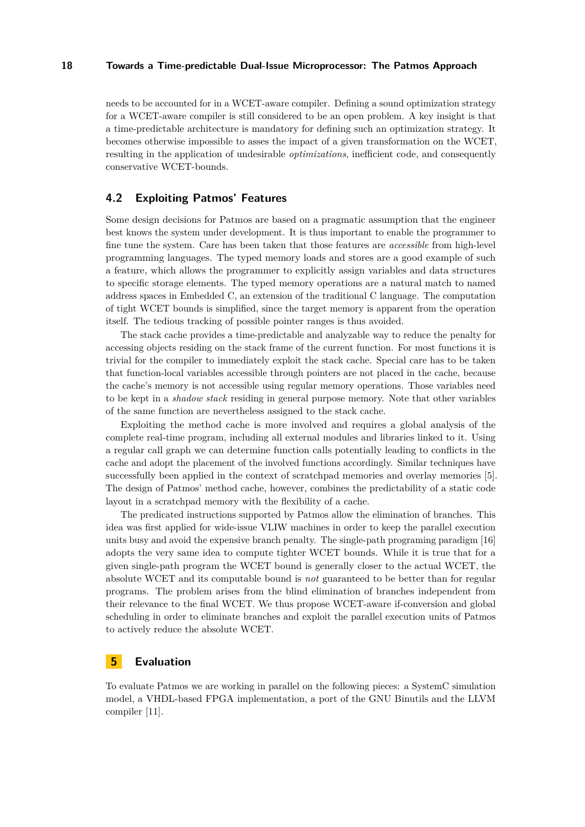needs to be accounted for in a WCET-aware compiler. Defining a sound optimization strategy for a WCET-aware compiler is still considered to be an open problem. A key insight is that a time-predictable architecture is mandatory for defining such an optimization strategy. It becomes otherwise impossible to asses the impact of a given transformation on the WCET, resulting in the application of undesirable *optimizations*, inefficient code, and consequently conservative WCET-bounds.

## **4.2 Exploiting Patmos' Features**

Some design decisions for Patmos are based on a pragmatic assumption that the engineer best knows the system under development. It is thus important to enable the programmer to fine tune the system. Care has been taken that those features are *accessible* from high-level programming languages. The typed memory loads and stores are a good example of such a feature, which allows the programmer to explicitly assign variables and data structures to specific storage elements. The typed memory operations are a natural match to named address spaces in Embedded C, an extension of the traditional C language. The computation of tight WCET bounds is simplified, since the target memory is apparent from the operation itself. The tedious tracking of possible pointer ranges is thus avoided.

The stack cache provides a time-predictable and analyzable way to reduce the penalty for accessing objects residing on the stack frame of the current function. For most functions it is trivial for the compiler to immediately exploit the stack cache. Special care has to be taken that function-local variables accessible through pointers are not placed in the cache, because the cache's memory is not accessible using regular memory operations. Those variables need to be kept in a *shadow stack* residing in general purpose memory. Note that other variables of the same function are nevertheless assigned to the stack cache.

Exploiting the method cache is more involved and requires a global analysis of the complete real-time program, including all external modules and libraries linked to it. Using a regular call graph we can determine function calls potentially leading to conflicts in the cache and adopt the placement of the involved functions accordingly. Similar techniques have successfully been applied in the context of scratchpad memories and overlay memories [\[5\]](#page-9-10). The design of Patmos' method cache, however, combines the predictability of a static code layout in a scratchpad memory with the flexibility of a cache.

The predicated instructions supported by Patmos allow the elimination of branches. This idea was first applied for wide-issue VLIW machines in order to keep the parallel execution units busy and avoid the expensive branch penalty. The single-path programing paradigm [\[16\]](#page-10-12) adopts the very same idea to compute tighter WCET bounds. While it is true that for a given single-path program the WCET bound is generally closer to the actual WCET, the absolute WCET and its computable bound is *not* guaranteed to be better than for regular programs. The problem arises from the blind elimination of branches independent from their relevance to the final WCET. We thus propose WCET-aware if-conversion and global scheduling in order to eliminate branches and exploit the parallel execution units of Patmos to actively reduce the absolute WCET.

## <span id="page-7-0"></span>**5 Evaluation**

To evaluate Patmos we are working in parallel on the following pieces: a SystemC simulation model, a VHDL-based FPGA implementation, a port of the GNU Binutils and the LLVM compiler [\[11\]](#page-9-14).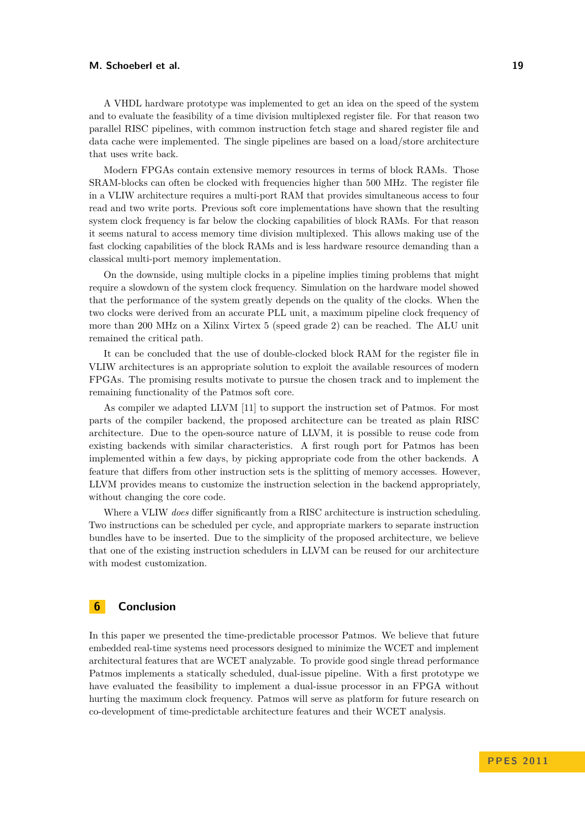#### **M. Schoeberl et al. 19**

A VHDL hardware prototype was implemented to get an idea on the speed of the system and to evaluate the feasibility of a time division multiplexed register file. For that reason two parallel RISC pipelines, with common instruction fetch stage and shared register file and data cache were implemented. The single pipelines are based on a load/store architecture that uses write back.

Modern FPGAs contain extensive memory resources in terms of block RAMs. Those SRAM-blocks can often be clocked with frequencies higher than 500 MHz. The register file in a VLIW architecture requires a multi-port RAM that provides simultaneous access to four read and two write ports. Previous soft core implementations have shown that the resulting system clock frequency is far below the clocking capabilities of block RAMs. For that reason it seems natural to access memory time division multiplexed. This allows making use of the fast clocking capabilities of the block RAMs and is less hardware resource demanding than a classical multi-port memory implementation.

On the downside, using multiple clocks in a pipeline implies timing problems that might require a slowdown of the system clock frequency. Simulation on the hardware model showed that the performance of the system greatly depends on the quality of the clocks. When the two clocks were derived from an accurate PLL unit, a maximum pipeline clock frequency of more than 200 MHz on a Xilinx Virtex 5 (speed grade 2) can be reached. The ALU unit remained the critical path.

It can be concluded that the use of double-clocked block RAM for the register file in VLIW architectures is an appropriate solution to exploit the available resources of modern FPGAs. The promising results motivate to pursue the chosen track and to implement the remaining functionality of the Patmos soft core.

As compiler we adapted LLVM [\[11\]](#page-9-14) to support the instruction set of Patmos. For most parts of the compiler backend, the proposed architecture can be treated as plain RISC architecture. Due to the open-source nature of LLVM, it is possible to reuse code from existing backends with similar characteristics. A first rough port for Patmos has been implemented within a few days, by picking appropriate code from the other backends. A feature that differs from other instruction sets is the splitting of memory accesses. However, LLVM provides means to customize the instruction selection in the backend appropriately, without changing the core code.

Where a VLIW *does* differ significantly from a RISC architecture is instruction scheduling. Two instructions can be scheduled per cycle, and appropriate markers to separate instruction bundles have to be inserted. Due to the simplicity of the proposed architecture, we believe that one of the existing instruction schedulers in LLVM can be reused for our architecture with modest customization.

## <span id="page-8-0"></span>**6 Conclusion**

In this paper we presented the time-predictable processor Patmos. We believe that future embedded real-time systems need processors designed to minimize the WCET and implement architectural features that are WCET analyzable. To provide good single thread performance Patmos implements a statically scheduled, dual-issue pipeline. With a first prototype we have evaluated the feasibility to implement a dual-issue processor in an FPGA without hurting the maximum clock frequency. Patmos will serve as platform for future research on co-development of time-predictable architecture features and their WCET analysis.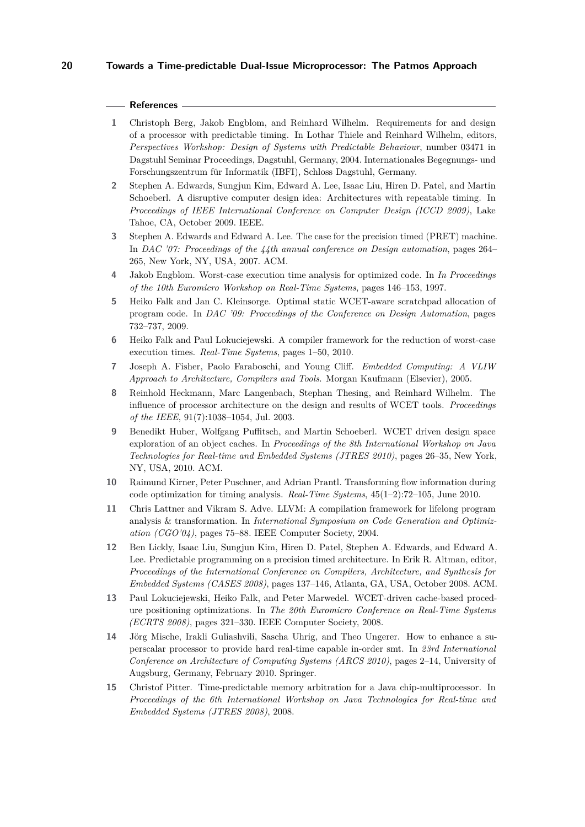#### **References**

- <span id="page-9-4"></span>**1** Christoph Berg, Jakob Engblom, and Reinhard Wilhelm. Requirements for and design of a processor with predictable timing. In Lothar Thiele and Reinhard Wilhelm, editors, *Perspectives Workshop: Design of Systems with Predictable Behaviour*, number 03471 in Dagstuhl Seminar Proceedings, Dagstuhl, Germany, 2004. Internationales Begegnungs- und Forschungszentrum für Informatik (IBFI), Schloss Dagstuhl, Germany.
- <span id="page-9-3"></span>**2** Stephen A. Edwards, Sungjun Kim, Edward A. Lee, Isaac Liu, Hiren D. Patel, and Martin Schoeberl. A disruptive computer design idea: Architectures with repeatable timing. In *Proceedings of IEEE International Conference on Computer Design (ICCD 2009)*, Lake Tahoe, CA, October 2009. IEEE.
- <span id="page-9-0"></span>**3** Stephen A. Edwards and Edward A. Lee. The case for the precision timed (PRET) machine. In *DAC '07: Proceedings of the 44th annual conference on Design automation*, pages 264– 265, New York, NY, USA, 2007. ACM.
- <span id="page-9-7"></span>**4** Jakob Engblom. Worst-case execution time analysis for optimized code. In *In Proceedings of the 10th Euromicro Workshop on Real-Time Systems*, pages 146–153, 1997.
- <span id="page-9-10"></span>**5** Heiko Falk and Jan C. Kleinsorge. Optimal static WCET-aware scratchpad allocation of program code. In *DAC '09: Proceedings of the Conference on Design Automation*, pages 732–737, 2009.
- <span id="page-9-11"></span>**6** Heiko Falk and Paul Lokuciejewski. A compiler framework for the reduction of worst-case execution times. *Real-Time Systems*, pages 1–50, 2010.
- <span id="page-9-13"></span>**7** Joseph A. Fisher, Paolo Faraboschi, and Young Cliff. *Embedded Computing: A VLIW Approach to Architecture, Compilers and Tools*. Morgan Kaufmann (Elsevier), 2005.
- <span id="page-9-5"></span>**8** Reinhold Heckmann, Marc Langenbach, Stephan Thesing, and Reinhard Wilhelm. The influence of processor architecture on the design and results of WCET tools. *Proceedings of the IEEE*, 91(7):1038–1054, Jul. 2003.
- <span id="page-9-1"></span>**9** Benedikt Huber, Wolfgang Puffitsch, and Martin Schoeberl. WCET driven design space exploration of an object caches. In *Proceedings of the 8th International Workshop on Java Technologies for Real-time and Embedded Systems (JTRES 2010)*, pages 26–35, New York, NY, USA, 2010. ACM.
- <span id="page-9-8"></span>**10** Raimund Kirner, Peter Puschner, and Adrian Prantl. Transforming flow information during code optimization for timing analysis. *Real-Time Systems*, 45(1–2):72–105, June 2010.
- <span id="page-9-14"></span>**11** Chris Lattner and Vikram S. Adve. LLVM: A compilation framework for lifelong program analysis & transformation. In *International Symposium on Code Generation and Optimization (CGO'04)*, pages 75–88. IEEE Computer Society, 2004.
- <span id="page-9-2"></span>**12** Ben Lickly, Isaac Liu, Sungjun Kim, Hiren D. Patel, Stephen A. Edwards, and Edward A. Lee. Predictable programming on a precision timed architecture. In Erik R. Altman, editor, *Proceedings of the International Conference on Compilers, Architecture, and Synthesis for Embedded Systems (CASES 2008)*, pages 137–146, Atlanta, GA, USA, October 2008. ACM.
- <span id="page-9-9"></span>**13** Paul Lokuciejewski, Heiko Falk, and Peter Marwedel. WCET-driven cache-based procedure positioning optimizations. In *The 20th Euromicro Conference on Real-Time Systems (ECRTS 2008)*, pages 321–330. IEEE Computer Society, 2008.
- <span id="page-9-6"></span>**14** Jörg Mische, Irakli Guliashvili, Sascha Uhrig, and Theo Ungerer. How to enhance a superscalar processor to provide hard real-time capable in-order smt. In *23rd International Conference on Architecture of Computing Systems (ARCS 2010)*, pages 2–14, University of Augsburg, Germany, February 2010. Springer.
- <span id="page-9-12"></span>**15** Christof Pitter. Time-predictable memory arbitration for a Java chip-multiprocessor. In *Proceedings of the 6th International Workshop on Java Technologies for Real-time and Embedded Systems (JTRES 2008)*, 2008.